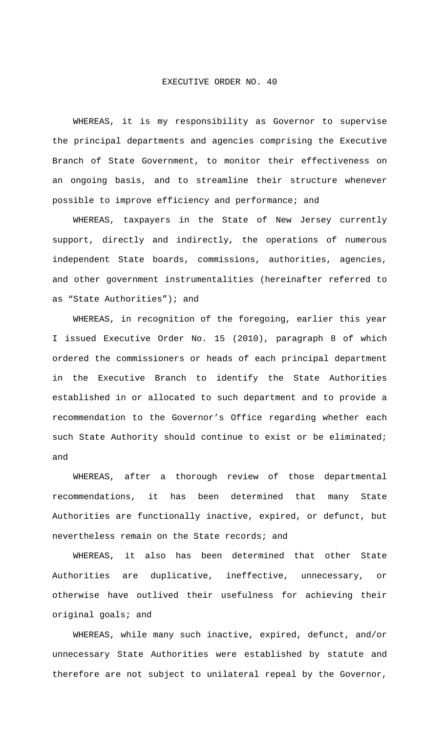## EXECUTIVE ORDER NO. 40

 WHEREAS, it is my responsibility as Governor to supervise the principal departments and agencies comprising the Executive Branch of State Government, to monitor their effectiveness on an ongoing basis, and to streamline their structure whenever possible to improve efficiency and performance; and

 WHEREAS, taxpayers in the State of New Jersey currently support, directly and indirectly, the operations of numerous independent State boards, commissions, authorities, agencies, and other government instrumentalities (hereinafter referred to as "State Authorities"); and

 WHEREAS, in recognition of the foregoing, earlier this year I issued Executive Order No. 15 (2010), paragraph 8 of which ordered the commissioners or heads of each principal department in the Executive Branch to identify the State Authorities established in or allocated to such department and to provide a recommendation to the Governor's Office regarding whether each such State Authority should continue to exist or be eliminated; and

 WHEREAS, after a thorough review of those departmental recommendations, it has been determined that many State Authorities are functionally inactive, expired, or defunct, but nevertheless remain on the State records; and

 WHEREAS, it also has been determined that other State Authorities are duplicative, ineffective, unnecessary, or otherwise have outlived their usefulness for achieving their original goals; and

 WHEREAS, while many such inactive, expired, defunct, and/or unnecessary State Authorities were established by statute and therefore are not subject to unilateral repeal by the Governor,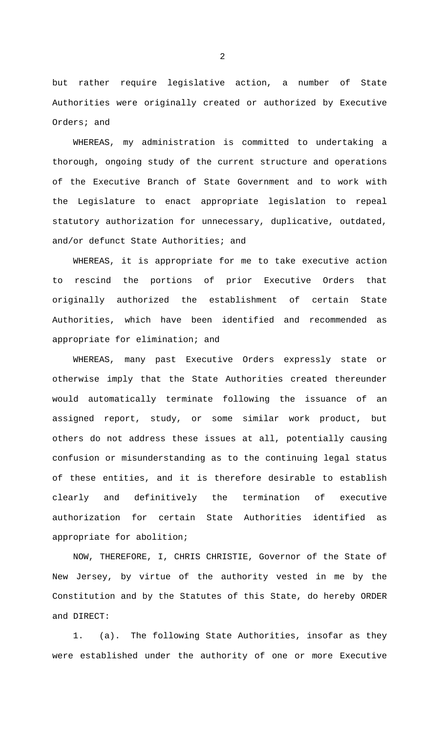but rather require legislative action, a number of State Authorities were originally created or authorized by Executive Orders; and

 WHEREAS, my administration is committed to undertaking a thorough, ongoing study of the current structure and operations of the Executive Branch of State Government and to work with the Legislature to enact appropriate legislation to repeal statutory authorization for unnecessary, duplicative, outdated, and/or defunct State Authorities; and

 WHEREAS, it is appropriate for me to take executive action to rescind the portions of prior Executive Orders that originally authorized the establishment of certain State Authorities, which have been identified and recommended as appropriate for elimination; and

 WHEREAS, many past Executive Orders expressly state or otherwise imply that the State Authorities created thereunder would automatically terminate following the issuance of an assigned report, study, or some similar work product, but others do not address these issues at all, potentially causing confusion or misunderstanding as to the continuing legal status of these entities, and it is therefore desirable to establish clearly and definitively the termination of executive authorization for certain State Authorities identified as appropriate for abolition;

 NOW, THEREFORE, I, CHRIS CHRISTIE, Governor of the State of New Jersey, by virtue of the authority vested in me by the Constitution and by the Statutes of this State, do hereby ORDER and DIRECT:

 1. (a). The following State Authorities, insofar as they were established under the authority of one or more Executive

2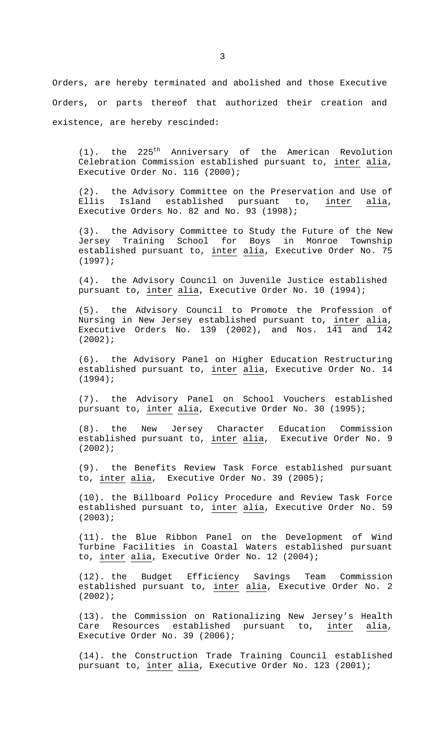Orders, are hereby terminated and abolished and those Executive Orders, or parts thereof that authorized their creation and existence, are hereby rescinded:

 $(1)$ . the 225<sup>th</sup> Anniversary of the American Revolution Celebration Commission established pursuant to, inter alia, Executive Order No. 116 (2000);

 (2). the Advisory Committee on the Preservation and Use of Ellis Island established pursuant to, inter alia, Executive Orders No. 82 and No. 93 (1998);

 (3). the Advisory Committee to Study the Future of the New Jersey Training School for Boys in Monroe Township established pursuant to, inter alia, Executive Order No. 75 (1997);

 (4). the Advisory Council on Juvenile Justice established pursuant to, inter alia, Executive Order No. 10 (1994);

(5). the Advisory Council to Promote the Profession of Nursing in New Jersey established pursuant to, inter alia, Executive Orders No. 139 (2002), and Nos.  $141$  and  $142$ (2002);

(6). the Advisory Panel on Higher Education Restructuring established pursuant to, inter alia, Executive Order No. 14 (1994);

(7). the Advisory Panel on School Vouchers established pursuant to, inter alia, Executive Order No. 30 (1995);

(8). the New Jersey Character Education Commission established pursuant to, <u>inter</u> alia, Executive Order No. 9 (2002);

(9). the Benefits Review Task Force established pursuant to, inter alia, Executive Order No. 39 (2005);

(10). the Billboard Policy Procedure and Review Task Force established pursuant to, inter alia, Executive Order No. 59 (2003);

(11). the Blue Ribbon Panel on the Development of Wind Turbine Facilities in Coastal Waters established pursuant to, inter alia, Executive Order No. 12 (2004);

(12). the Budget Efficiency Savings Team Commission established pursuant to, inter alia, Executive Order No. 2 (2002);

(13). the Commission on Rationalizing New Jersey's Health Care Resources established pursuant to, inter alia, Executive Order No. 39 (2006);

(14). the Construction Trade Training Council established pursuant to, inter alia, Executive Order No. 123 (2001);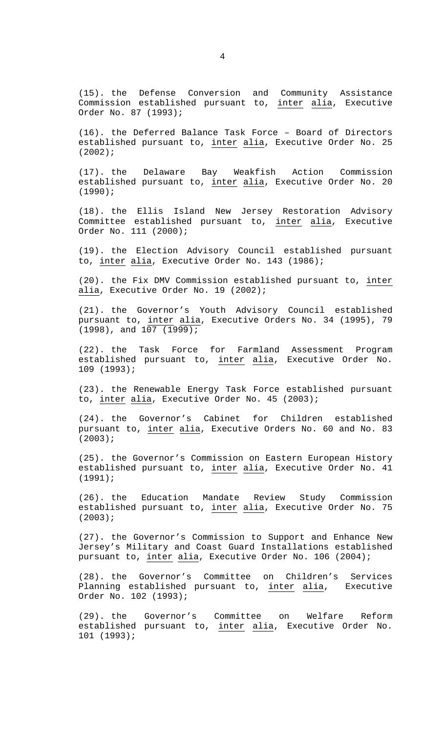(15). the Defense Conversion and Community Assistance Commission established pursuant to, inter alia, Executive Order No. 87 (1993);

(16). the Deferred Balance Task Force – Board of Directors established pursuant to, inter alia, Executive Order No. 25 (2002);

(17). the Delaware Bay Weakfish Action Commission established pursuant to, inter alia, Executive Order No. 20 (1990);

(18). the Ellis Island New Jersey Restoration Advisory Committee established pursuant to, inter alia, Executive Order No. 111 (2000);

(19). the Election Advisory Council established pursuant to, inter alia, Executive Order No. 143 (1986);

(20). the Fix DMV Commission established pursuant to, inter alia, Executive Order No. 19 (2002);

(21). the Governor's Youth Advisory Council established pursuant to, inter alia, Executive Orders No. 34 (1995), 79  $(1998)$ , and  $107$   $(1999)$ ;

(22). the Task Force for Farmland Assessment Program established pursuant to, inter alia, Executive Order No. 109 (1993);

(23). the Renewable Energy Task Force established pursuant to, inter alia, Executive Order No. 45 (2003);

(24). the Governor's Cabinet for Children established pursuant to, inter alia, Executive Orders No. 60 and No. 83 (2003);

(25). the Governor's Commission on Eastern European History established pursuant to, inter alia, Executive Order No. 41 (1991);

(26). the Education Mandate Review Study Commission established pursuant to, inter alia, Executive Order No. 75 (2003);

(27). the Governor's Commission to Support and Enhance New Jersey's Military and Coast Guard Installations established pursuant to, inter alia, Executive Order No. 106 (2004);

(28). the Governor's Committee on Children's Services Planning established pursuant to, inter alia, Executive Order No. 102 (1993);

(29). the Governor's Committee on Welfare Reform established pursuant to, inter alia, Executive Order No. 101 (1993);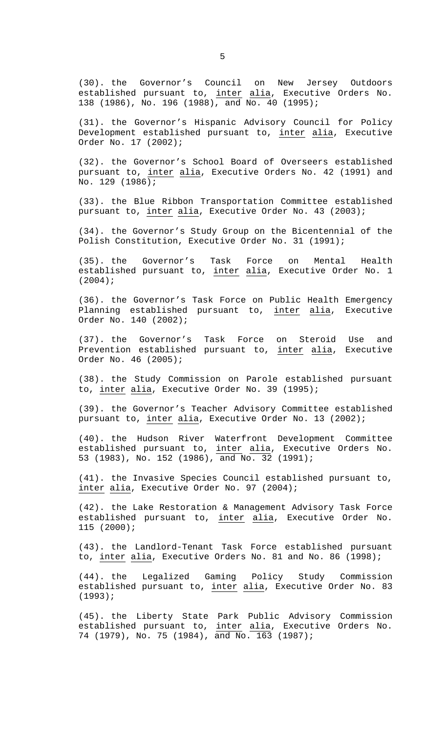(30). the Governor's Council on New Jersey Outdoors established pursuant to, inter alia, Executive Orders No. 138 (1986), No. 196 (1988), and No. 40 (1995);

(31). the Governor's Hispanic Advisory Council for Policy Development established pursuant to, inter alia, Executive Order No. 17 (2002);

(32). the Governor's School Board of Overseers established pursuant to, inter alia, Executive Orders No. 42 (1991) and No. 129 (1986);

(33). the Blue Ribbon Transportation Committee established pursuant to, inter alia, Executive Order No. 43 (2003);

(34). the Governor's Study Group on the Bicentennial of the Polish Constitution, Executive Order No. 31 (1991);

(35). the Governor's Task Force on Mental Health established pursuant to, inter alia, Executive Order No. 1 (2004);

(36). the Governor's Task Force on Public Health Emergency Planning established pursuant to, inter alia, Executive Order No. 140 (2002);

(37). the Governor's Task Force on Steroid Use and Prevention established pursuant to, inter alia, Executive Order No. 46 (2005);

(38). the Study Commission on Parole established pursuant to, inter alia, Executive Order No. 39 (1995);

(39). the Governor's Teacher Advisory Committee established pursuant to, inter alia, Executive Order No. 13 (2002);

(40). the Hudson River Waterfront Development Committee established pursuant to, inter alia, Executive Orders No. 53 (1983), No. 152 (1986), and No. 32 (1991);

(41). the Invasive Species Council established pursuant to, inter alia, Executive Order No. 97 (2004);

(42). the Lake Restoration & Management Advisory Task Force established pursuant to, inter alia, Executive Order No. 115 (2000);

(43). the Landlord-Tenant Task Force established pursuant to, inter alia, Executive Orders No. 81 and No. 86 (1998);

(44). the Legalized Gaming Policy Study Commission established pursuant to, inter alia, Executive Order No. 83 (1993);

(45). the Liberty State Park Public Advisory Commission established pursuant to, inter alia, Executive Orders No. 74 (1979), No. 75 (1984), and No. 163 (1987);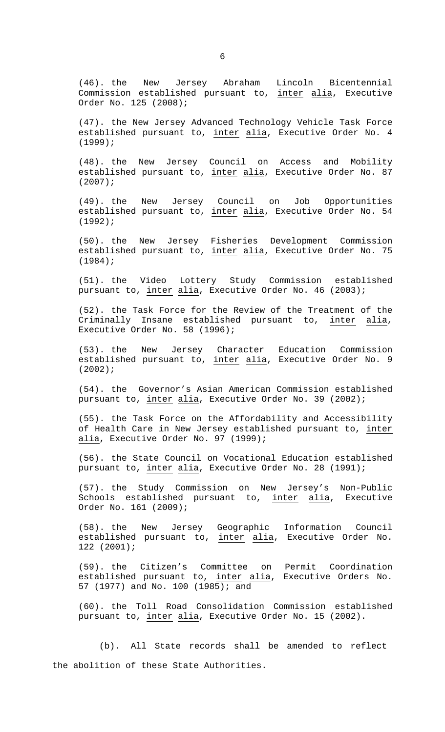(46). the New Jersey Abraham Lincoln Bicentennial Commission established pursuant to, inter alia, Executive Order No. 125 (2008);

(47). the New Jersey Advanced Technology Vehicle Task Force established pursuant to, inter alia, Executive Order No. 4 (1999);

(48). the New Jersey Council on Access and Mobility established pursuant to, inter alia, Executive Order No. 87 (2007);

(49). the New Jersey Council on Job Opportunities established pursuant to, inter alia, Executive Order No. 54 (1992);

(50). the New Jersey Fisheries Development Commission established pursuant to, inter alia, Executive Order No. 75 (1984);

(51). the Video Lottery Study Commission established pursuant to, inter alia, Executive Order No. 46 (2003);

(52). the Task Force for the Review of the Treatment of the Criminally Insane established pursuant to, inter alia, Executive Order No. 58 (1996);

(53). the New Jersey Character Education Commission established pursuant to, inter alia, Executive Order No. 9  $(2002);$ 

(54). the Governor's Asian American Commission established pursuant to, inter alia, Executive Order No. 39 (2002);

(55). the Task Force on the Affordability and Accessibility of Health Care in New Jersey established pursuant to, inter alia, Executive Order No. 97 (1999);

(56). the State Council on Vocational Education established pursuant to, inter alia, Executive Order No. 28 (1991);

(57). the Study Commission on New Jersey's Non-Public Schools established pursuant to, inter alia, Executive Order No. 161 (2009);

(58). the New Jersey Geographic Information Council established pursuant to, inter alia, Executive Order No. 122 (2001);

(59). the Citizen's Committee on Permit Coordination established pursuant to, inter alia, Executive Orders No. 57 (1977) and No. 100 (1985); and

(60). the Toll Road Consolidation Commission established pursuant to, inter alia, Executive Order No. 15 (2002).

 (b). All State records shall be amended to reflect the abolition of these State Authorities.